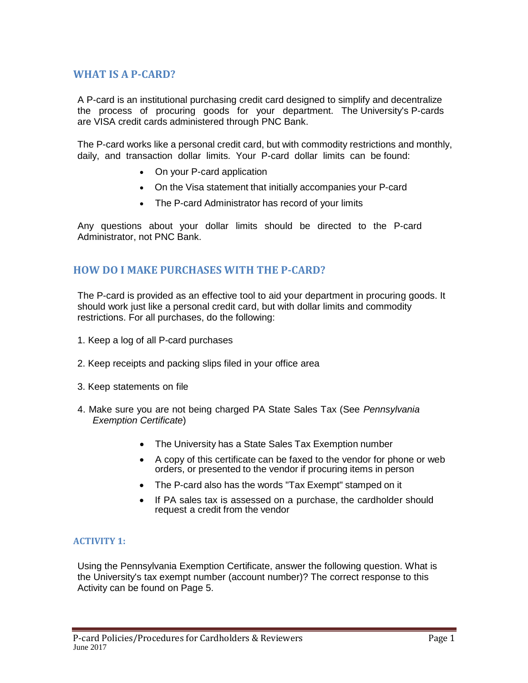## **WHAT IS A P-CARD?**

A P-card is an institutional purchasing credit card designed to simplify and decentralize the process of procuring goods for your department. The University's P-cards are VISA credit cards administered through PNC Bank.

The P-card works like a personal credit card, but with commodity restrictions and monthly, daily, and transaction dollar limits. Your P-card dollar limits can be found:

- On your P-card application
- On the Visa statement that initially accompanies your P-card
- The P-card Administrator has record of your limits

Any questions about your dollar limits should be directed to the P-card Administrator, not PNC Bank.

## **HOW DO I MAKE PURCHASES WITH THE P-CARD?**

The P-card is provided as an effective tool to aid your department in procuring goods. It should work just like a personal credit card, but with dollar limits and commodity restrictions. For all purchases, do the following:

- 1. Keep a log of all P-card purchases
- 2. Keep receipts and packing slips filed in your office area
- 3. Keep statements on file
- 4. Make sure you are not being charged PA State Sales Tax (See *Pennsylvania Exemption Certificate*)
	- The University has a State Sales Tax Exemption number
	- A copy of this certificate can be faxed to the vendor for phone or web orders, or presented to the vendor if procuring items in person
	- The P-card also has the words "Tax Exempt" stamped on it
	- If PA sales tax is assessed on a purchase, the cardholder should request a credit from the vendor

#### **ACTIVITY 1:**

Using the Pennsylvania Exemption Certificate, answer the following question. What is the University's tax exempt number (account number)? The correct response to this Activity can be found on Page 5.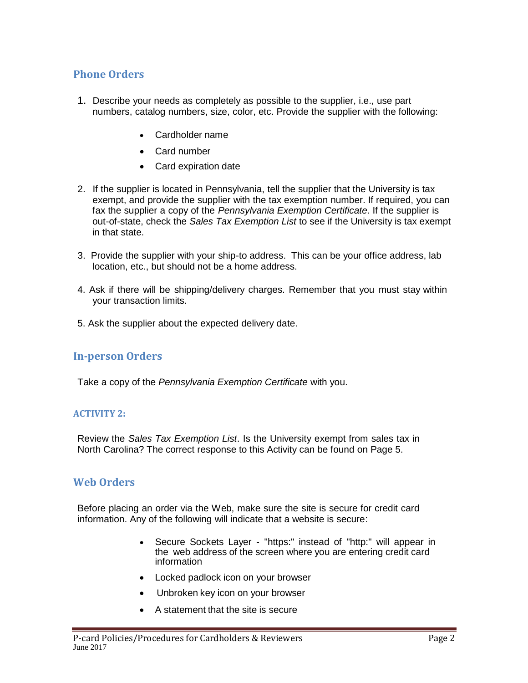## **Phone Orders**

- 1. Describe your needs as completely as possible to the supplier, i.e., use part numbers, catalog numbers, size, color, etc. Provide the supplier with the following:
	- Cardholder name
	- Card number
	- Card expiration date
- 2. If the supplier is located in Pennsylvania, tell the supplier that the University is tax exempt, and provide the supplier with the tax exemption number. If required, you can fax the supplier a copy of the *Pennsylvania Exemption Certificate*. If the supplier is out-of-state, check the *Sales Tax Exemption List* to see if the University is tax exempt in that state.
- 3. Provide the supplier with your ship-to address. This can be your office address, lab location, etc., but should not be a home address.
- 4. Ask if there will be shipping/delivery charges. Remember that you must stay within your transaction limits.
- 5. Ask the supplier about the expected delivery date.

## **In-person Orders**

Take a copy of the *Pennsylvania Exemption Certificate* with you.

#### **ACTIVITY 2:**

Review the *Sales Tax Exemption List*. Is the University exempt from sales tax in North Carolina? The correct response to this Activity can be found on Page 5.

## **Web Orders**

Before placing an order via the Web, make sure the site is secure for credit card information. Any of the following will indicate that a website is secure:

- Secure Sockets Layer "https:" instead of "http:" will appear in the web address of the screen where you are entering credit card information
- Locked padlock icon on your browser
- Unbroken key icon on your browser
- A statement that the site is secure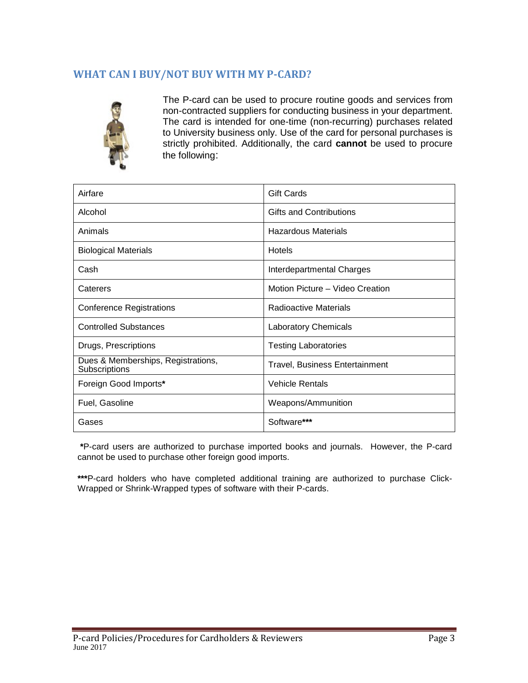# **WHAT CAN I BUY/NOT BUY WITH MY P-CARD?**



The P-card can be used to procure routine goods and services from non-contracted suppliers for conducting business in your department. The card is intended for one-time (non-recurring) purchases related to University business only. Use of the card for personal purchases is strictly prohibited. Additionally, the card **cannot** be used to procure the following:

| Airfare                                             | <b>Gift Cards</b>                     |  |  |
|-----------------------------------------------------|---------------------------------------|--|--|
| Alcohol                                             | <b>Gifts and Contributions</b>        |  |  |
| Animals                                             | <b>Hazardous Materials</b>            |  |  |
| <b>Biological Materials</b>                         | <b>Hotels</b>                         |  |  |
| Cash                                                | Interdepartmental Charges             |  |  |
| Caterers                                            | Motion Picture - Video Creation       |  |  |
| <b>Conference Registrations</b>                     | Radioactive Materials                 |  |  |
| <b>Controlled Substances</b>                        | <b>Laboratory Chemicals</b>           |  |  |
| Drugs, Prescriptions                                | <b>Testing Laboratories</b>           |  |  |
| Dues & Memberships, Registrations,<br>Subscriptions | <b>Travel, Business Entertainment</b> |  |  |
| Foreign Good Imports*                               | <b>Vehicle Rentals</b>                |  |  |
| Fuel, Gasoline                                      | Weapons/Ammunition                    |  |  |
| Gases                                               | Software***                           |  |  |

**\***P-card users are authorized to purchase imported books and journals. However, the P-card cannot be used to purchase other foreign good imports.

**\*\*\***P-card holders who have completed additional training are authorized to purchase Click-Wrapped or Shrink-Wrapped types of software with their P-cards.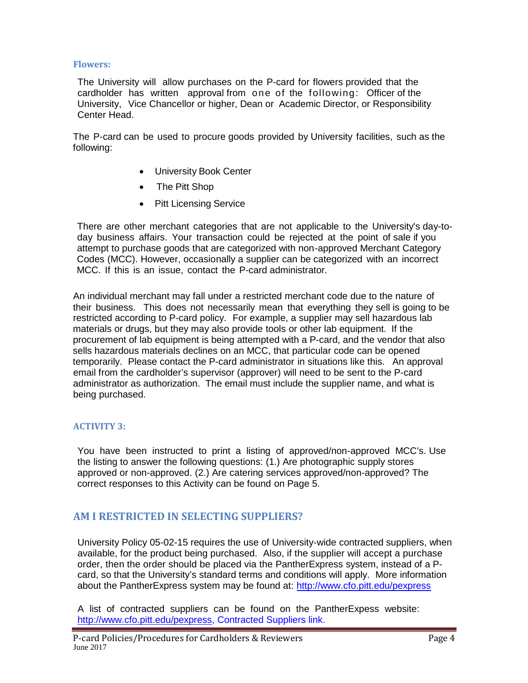#### **Flowers:**

The University will allow purchases on the P-card for flowers provided that the cardholder has written approval from one of the following: Officer of the University, Vice Chancellor or higher, Dean or Academic Director, or Responsibility Center Head.

The P-card can be used to procure goods provided by University facilities, such as the following:

- University Book Center
- The Pitt Shop
- Pitt Licensing Service

There are other merchant categories that are not applicable to the University's day-today business affairs. Your transaction could be rejected at the point of sale if you attempt to purchase goods that are categorized with non-approved Merchant Category Codes (MCC). However, occasionally a supplier can be categorized with an incorrect MCC. If this is an issue, contact the P-card administrator.

An individual merchant may fall under a restricted merchant code due to the nature of their business. This does not necessarily mean that everything they sell is going to be restricted according to P-card policy. For example, a supplier may sell hazardous lab materials or drugs, but they may also provide tools or other lab equipment. If the procurement of lab equipment is being attempted with a P-card, and the vendor that also sells hazardous materials declines on an MCC, that particular code can be opened temporarily. Please contact the P-card administrator in situations like this. An approval email from the cardholder's supervisor (approver) will need to be sent to the P-card administrator as authorization. The email must include the supplier name, and what is being purchased.

#### **ACTIVITY 3:**

You have been instructed to print a listing of approved/non-approved MCC's. Use the listing to answer the following questions: (1.) Are photographic supply stores approved or non-approved. (2.) Are catering services approved/non-approved? The correct responses to this Activity can be found on Page 5.

## **AM I RESTRICTED IN SELECTING SUPPLIERS?**

University Policy 05-02-15 requires the use of University-wide contracted suppliers, when available, for the product being purchased. Also, if the supplier will accept a purchase order, then the order should be placed via the PantherExpress system, instead of a Pcard, so that the University's standard terms and conditions will apply. More information about the PantherExpress system may be found at:<http://www.cfo.pitt.edu/pexpress>

A list of contracted suppliers can be found on the PantherExpess website: [http://www.cfo.pitt.edu/pexpress,](http://www.cfo.pitt.edu/pexpress) Contracted Suppliers link.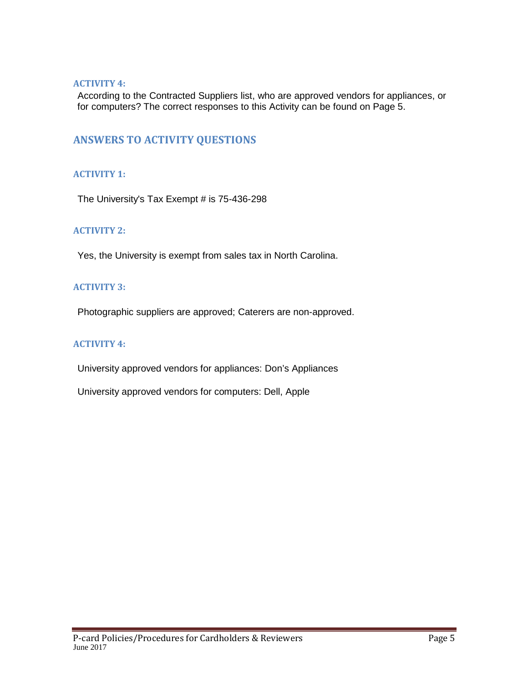#### **ACTIVITY 4:**

According to the Contracted Suppliers list, who are approved vendors for appliances, or for computers? The correct responses to this Activity can be found on Page 5.

## **ANSWERS TO ACTIVITY QUESTIONS**

### **ACTIVITY 1:**

The University's Tax Exempt # is 75-436-298

### **ACTIVITY 2:**

Yes, the University is exempt from sales tax in North Carolina.

### **ACTIVITY 3:**

Photographic suppliers are approved; Caterers are non-approved.

### **ACTIVITY 4:**

University approved vendors for appliances: Don's Appliances

University approved vendors for computers: Dell, Apple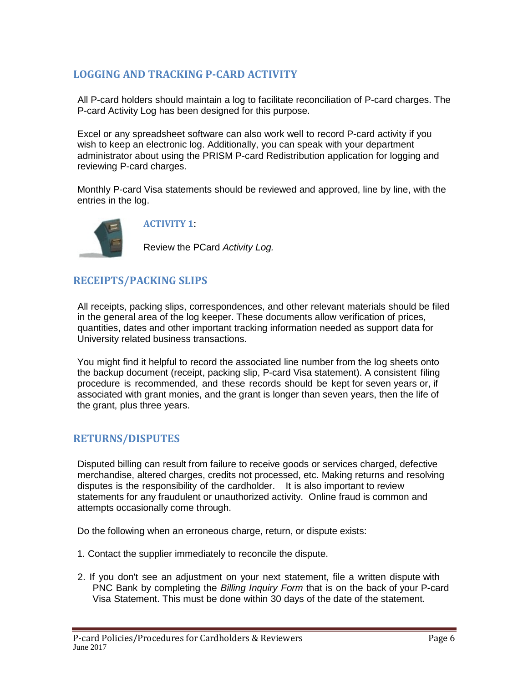# **LOGGING AND TRACKING P-CARD ACTIVITY**

All P-card holders should maintain a log to facilitate reconciliation of P-card charges. The P-card Activity Log has been designed for this purpose.

Excel or any spreadsheet software can also work well to record P-card activity if you wish to keep an electronic log. Additionally, you can speak with your department administrator about using the PRISM P-card Redistribution application for logging and reviewing P-card charges.

Monthly P-card Visa statements should be reviewed and approved, line by line, with the entries in the log.



**ACTIVITY 1**:

Review the PCard *Activity Log.*

# **RECEIPTS/PACKING SLIPS**

All receipts, packing slips, correspondences, and other relevant materials should be filed in the general area of the log keeper. These documents allow verification of prices, quantities, dates and other important tracking information needed as support data for University related business transactions.

You might find it helpful to record the associated line number from the log sheets onto the backup document (receipt, packing slip, P-card Visa statement). A consistent filing procedure is recommended, and these records should be kept for seven years or, if associated with grant monies, and the grant is longer than seven years, then the life of the grant, plus three years.

## **RETURNS/DISPUTES**

Disputed billing can result from failure to receive goods or services charged, defective merchandise, altered charges, credits not processed, etc. Making returns and resolving disputes is the responsibility of the cardholder. It is also important to review statements for any fraudulent or unauthorized activity. Online fraud is common and attempts occasionally come through.

Do the following when an erroneous charge, return, or dispute exists:

- 1. Contact the supplier immediately to reconcile the dispute.
- 2. If you don't see an adjustment on your next statement, file a written dispute with PNC Bank by completing the *Billing Inquiry Form* that is on the back of your P-card Visa Statement. This must be done within 30 days of the date of the statement.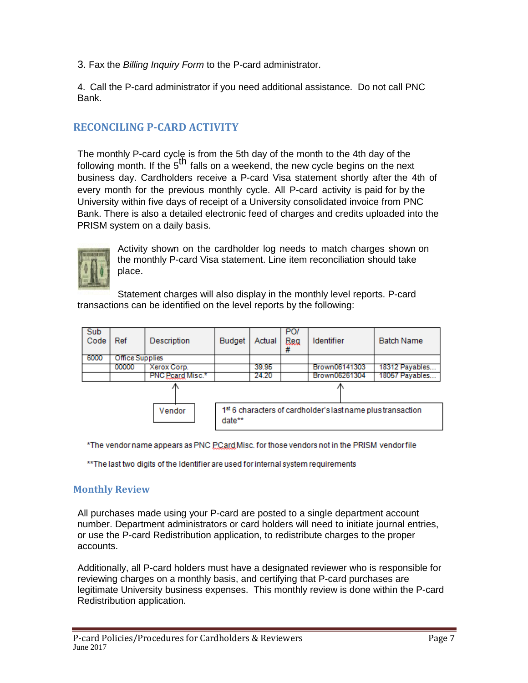3. Fax the *Billing Inquiry Form* to the P-card administrator.

4. Call the P-card administrator if you need additional assistance. Do not call PNC Bank.

# **RECONCILING P-CARD ACTIVITY**

The monthly P-card cycle is from the 5th day of the month to the 4th day of the following month. If the  $5<sup>th</sup>$  falls on a weekend, the new cycle begins on the next business day. Cardholders receive a P-card Visa statement shortly after the 4th of every month for the previous monthly cycle. All P-card activity is paid for by the University within five days of receipt of a University consolidated invoice from PNC Bank. There is also a detailed electronic feed of charges and credits uploaded into the PRISM system on a daily basis.



Activity shown on the cardholder log needs to match charges shown on the monthly P-card Visa statement. Line item reconciliation should take place.

Statement charges will also display in the monthly level reports. P-card transactions can be identified on the level reports by the following:

| Sub<br>Code | Ref             | Description      | <b>Budget</b>                                                         | Actual | PO <sub>I</sub><br>Reg<br>₩ | Identifier    | <b>Batch Name</b> |  |
|-------------|-----------------|------------------|-----------------------------------------------------------------------|--------|-----------------------------|---------------|-------------------|--|
| 6000        | Office Supplies |                  |                                                                       |        |                             |               |                   |  |
|             | 00000           | Xerox Corp.      |                                                                       | 39.95  |                             | Brown06141303 | 18312 Payables    |  |
|             |                 | PNC Peard Misc.* |                                                                       | 24.20  |                             | Brown06261304 | 18057 Payables    |  |
|             |                 |                  |                                                                       |        |                             |               |                   |  |
|             |                 | Vendor           | 1st 6 characters of cardholder's last name plus transaction<br>date** |        |                             |               |                   |  |

\*The vendor name appears as PNC PCard Misc. for those vendors not in the PRISM vendor file

\*\* The last two digits of the Identifier are used for internal system requirements

#### **Monthly Review**

All purchases made using your P-card are posted to a single department account number. Department administrators or card holders will need to initiate journal entries, or use the P-card Redistribution application, to redistribute charges to the proper accounts.

Additionally, all P-card holders must have a designated reviewer who is responsible for reviewing charges on a monthly basis, and certifying that P-card purchases are legitimate University business expenses. This monthly review is done within the P-card Redistribution application.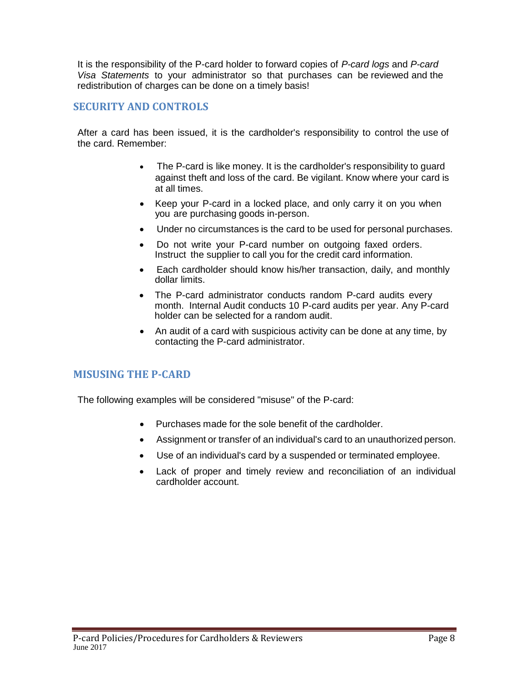It is the responsibility of the P-card holder to forward copies of *P-card logs* and *P-card Visa Statements* to your administrator so that purchases can be reviewed and the redistribution of charges can be done on a timely basis!

## **SECURITY AND CONTROLS**

After a card has been issued, it is the cardholder's responsibility to control the use of the card. Remember:

- The P-card is like money. It is the cardholder's responsibility to guard against theft and loss of the card. Be vigilant. Know where your card is at all times.
- Keep your P-card in a locked place, and only carry it on you when you are purchasing goods in-person.
- Under no circumstances is the card to be used for personal purchases.
- Do not write your P-card number on outgoing faxed orders. Instruct the supplier to call you for the credit card information.
- Each cardholder should know his/her transaction, daily, and monthly dollar limits.
- The P-card administrator conducts random P-card audits every month. Internal Audit conducts 10 P-card audits per year. Any P-card holder can be selected for a random audit.
- An audit of a card with suspicious activity can be done at any time, by contacting the P-card administrator.

## **MISUSING THE P-CARD**

The following examples will be considered "misuse" of the P-card:

- Purchases made for the sole benefit of the cardholder.
- Assignment or transfer of an individual's card to an unauthorized person.
- Use of an individual's card by a suspended or terminated employee.
- Lack of proper and timely review and reconciliation of an individual cardholder account.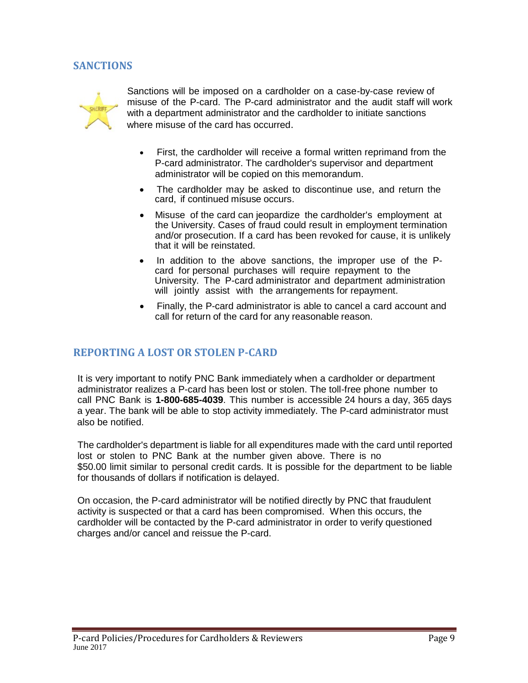## **SANCTIONS**



Sanctions will be imposed on a cardholder on a case-by-case review of misuse of the P-card. The P-card administrator and the audit staff will work with a department administrator and the cardholder to initiate sanctions where misuse of the card has occurred.

- First, the cardholder will receive a formal written reprimand from the P-card administrator. The cardholder's supervisor and department administrator will be copied on this memorandum.
- The cardholder may be asked to discontinue use, and return the card, if continued misuse occurs.
- Misuse of the card can jeopardize the cardholder's employment at the University. Cases of fraud could result in employment termination and/or prosecution. If a card has been revoked for cause, it is unlikely that it will be reinstated.
- In addition to the above sanctions, the improper use of the Pcard for personal purchases will require repayment to the University. The P-card administrator and department administration will jointly assist with the arrangements for repayment.
- Finally, the P-card administrator is able to cancel a card account and call for return of the card for any reasonable reason.

## **REPORTING A LOST OR STOLEN P-CARD**

It is very important to notify PNC Bank immediately when a cardholder or department administrator realizes a P-card has been lost or stolen. The toll-free phone number to call PNC Bank is **1-800-685-4039**. This number is accessible 24 hours a day, 365 days a year. The bank will be able to stop activity immediately. The P-card administrator must also be notified.

The cardholder's department is liable for all expenditures made with the card until reported lost or stolen to PNC Bank at the number given above. There is no \$50.00 limit similar to personal credit cards. It is possible for the department to be liable for thousands of dollars if notification is delayed.

On occasion, the P-card administrator will be notified directly by PNC that fraudulent activity is suspected or that a card has been compromised. When this occurs, the cardholder will be contacted by the P-card administrator in order to verify questioned charges and/or cancel and reissue the P-card.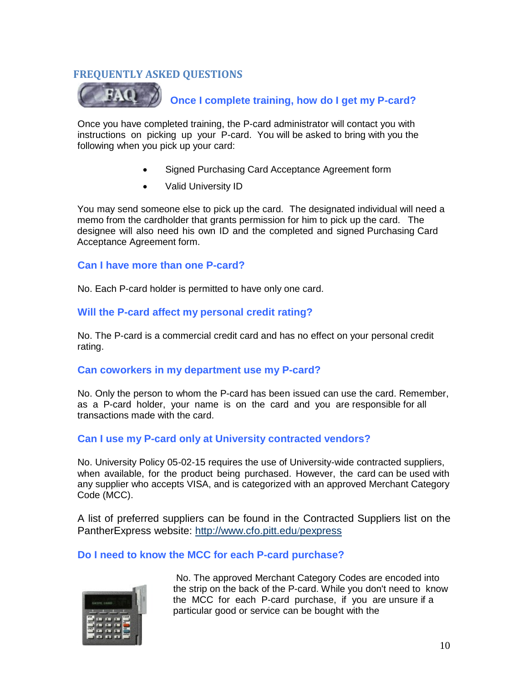## **FREQUENTLY ASKED QUESTIONS**



**Once I complete training, how do I get my P-card?**

Once you have completed training, the P-card administrator will contact you with instructions on picking up your P-card. You will be asked to bring with you the following when you pick up your card:

- Signed Purchasing Card Acceptance Agreement form
- Valid University ID

You may send someone else to pick up the card. The designated individual will need a memo from the cardholder that grants permission for him to pick up the card. The designee will also need his own ID and the completed and signed Purchasing Card Acceptance Agreement form.

#### **Can I have more than one P-card?**

No. Each P-card holder is permitted to have only one card.

### **Will the P-card affect my personal credit rating?**

No. The P-card is a commercial credit card and has no effect on your personal credit rating.

#### **Can coworkers in my department use my P-card?**

No. Only the person to whom the P-card has been issued can use the card. Remember, as a P-card holder, your name is on the card and you are responsible for all transactions made with the card.

#### **Can I use my P-card only at University contracted vendors?**

No. University Policy 05-02-15 requires the use of University-wide contracted suppliers, when available, for the product being purchased. However, the card can be used with any supplier who accepts VISA, and is categorized with an approved Merchant Category Code (MCC).

A list of preferred suppliers can be found in the Contracted Suppliers list on the PantherExpress website: [http://www.cfo.pitt.edu](http://www.cfo.pitt.edu/pexpress)/pexpress

#### **Do I need to know the MCC for each P-card purchase?**



No. The approved Merchant Category Codes are encoded into the strip on the back of the P-card. While you don't need to know the MCC for each P-card purchase, if you are unsure if a particular good or service can be bought with the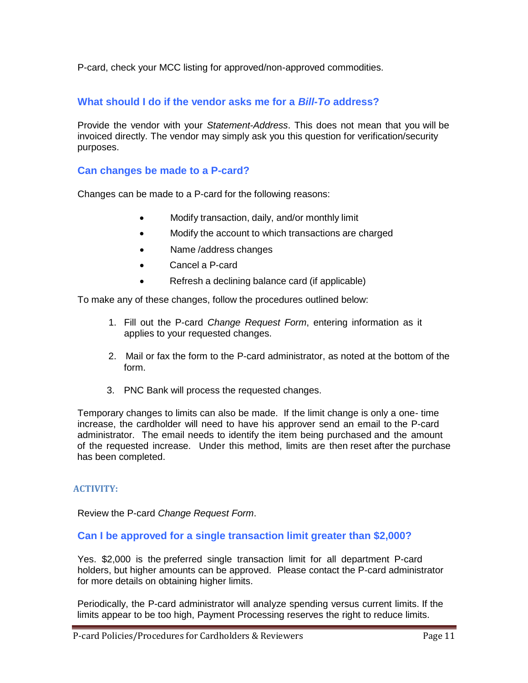P-card, check your MCC listing for approved/non-approved commodities.

## **What should I do if the vendor asks me for a** *Bill-To* **address?**

Provide the vendor with your *Statement-Address*. This does not mean that you will be invoiced directly. The vendor may simply ask you this question for verification/security purposes.

### **Can changes be made to a P-card?**

Changes can be made to a P-card for the following reasons:

- Modify transaction, daily, and/or monthly limit
- Modify the account to which transactions are charged
- Name /address changes
- Cancel a P-card
- Refresh a declining balance card (if applicable)

To make any of these changes, follow the procedures outlined below:

- 1. Fill out the P-card *Change Request Form*, entering information as it applies to your requested changes.
- 2. Mail or fax the form to the P-card administrator, as noted at the bottom of the form.
- 3. PNC Bank will process the requested changes.

Temporary changes to limits can also be made. If the limit change is only a one- time increase, the cardholder will need to have his approver send an email to the P-card administrator. The email needs to identify the item being purchased and the amount of the requested increase. Under this method, limits are then reset after the purchase has been completed.

#### **ACTIVITY:**

Review the P-card *Change Request Form*.

#### **Can I be approved for a single transaction limit greater than \$2,000?**

Yes. \$2,000 is the preferred single transaction limit for all department P-card holders, but higher amounts can be approved. Please contact the P-card administrator for more details on obtaining higher limits.

Periodically, the P-card administrator will analyze spending versus current limits. If the limits appear to be too high, Payment Processing reserves the right to reduce limits.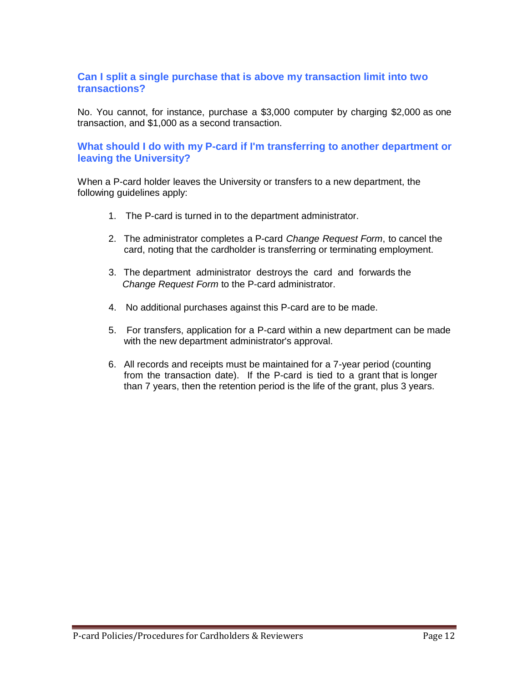## **Can I split a single purchase that is above my transaction limit into two transactions?**

No. You cannot, for instance, purchase a \$3,000 computer by charging \$2,000 as one transaction, and \$1,000 as a second transaction.

### **What should I do with my P-card if I'm transferring to another department or leaving the University?**

When a P-card holder leaves the University or transfers to a new department, the following guidelines apply:

- 1. The P-card is turned in to the department administrator.
- 2. The administrator completes a P-card *Change Request Form*, to cancel the card, noting that the cardholder is transferring or terminating employment.
- 3. The department administrator destroys the card and forwards the *Change Request Form* to the P-card administrator.
- 4. No additional purchases against this P-card are to be made.
- 5. For transfers, application for a P-card within a new department can be made with the new department administrator's approval.
- 6. All records and receipts must be maintained for a 7-year period (counting from the transaction date). If the P-card is tied to a grant that is longer than 7 years, then the retention period is the life of the grant, plus 3 years.